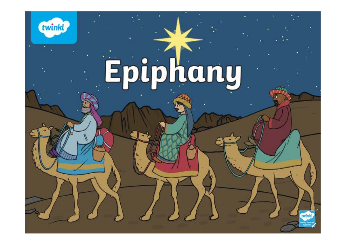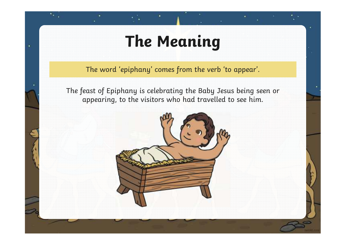# **The Meaning**

te g

٠

The word 'epiphany' comes from the verb 'to appear'.

The feast of Epiphany is celebrating the Baby Jesus being seen or appearing, to the visitors who had travelled to see him.

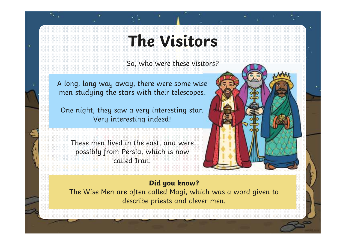## **The Visitors**

So, who were these visitors?

A long, long way away, there were some wise men studying the stars with their telescopes.

٠

One night, they saw a very interesting star. Very interesting indeed!

These men lived in the east, and were possibly from Persia, which is now called Iran.

### **Did you know?**

 The Wise Men are often called Magi, which was a word given to describe priests and clever men.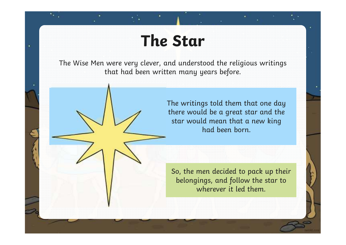### **The Star**

٠

The Wise Men were very clever, and understood the religious writings that had been written many years before.

> The writings told them that one day there would be a great star and the star would mean that a new king had been born.

So, the men decided to pack up their belongings, and follow the star to wherever it led them.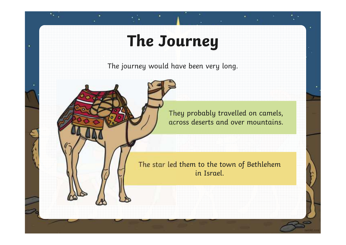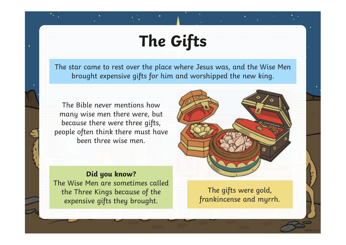# **The Gifts**

The star came to rest over the place where Jesus was, and the Wise Men brought expensive gifts for him and worshipped the new king.

The Bible never mentions how many wise men there were, but because there were three gifts, people often think there must have been three wise men.

٠



**Did you know?** The Wise Men are sometimes called the Three Kings because of the expensive gifts they brought.

The gifts were gold, frankincense and myrrh.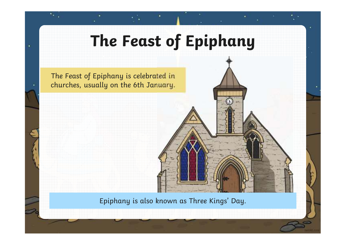